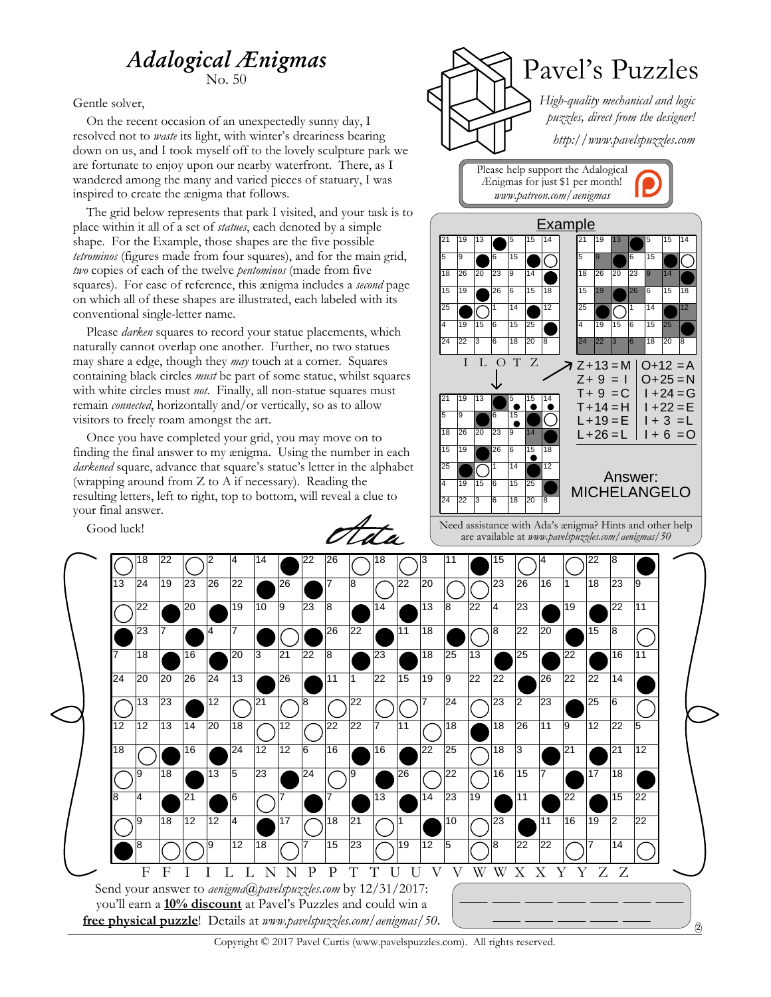## *Adalogical Ænigmas*

No. 50

Gentle solver,

On the recent occasion of an unexpectedly sunny day, I resolved not to *waste* its light, with winter's dreariness bearing down on us, and I took myself off to the lovely sculpture park we are fortunate to enjoy upon our nearby waterfront. There, as I wandered among the many and varied pieces of statuary, I was inspired to create the ænigma that follows.

The grid below represents that park I visited, and your task is to place within it all of a set of *statues*, each denoted by a simple shape. For the Example, those shapes are the five possible *tetrominos* (figures made from four squares), and for the main grid, *two* copies of each of the twelve *pentominos* (made from five squares). For ease of reference, this ænigma includes a *second* page on which all of these shapes are illustrated, each labeled with its conventional single-letter name.

Please *darken* squares to record your statue placements, which naturally cannot overlap one another. Further, no two statues may share a edge, though they *may* touch at a corner. Squares containing black circles *must* be part of some statue, whilst squares with white circles must *not*. Finally, all non-statue squares must remain *connected*, horizontally and/or vertically, so as to allow visitors to freely roam amongst the art.

Once you have completed your grid, you may move on to finding the final answer to my ænigma. Using the number in each *darkened* square, advance that square's statue's letter in the alphabet (wrapping around from Z to A if necessary). Reading the resulting letters, left to right, top to bottom, will reveal a clue to your final answer.

Good luck!

et st a



Need assistance with Ada's ænigma? Hints and other help are available at *www.pavelspuzzles.com/aenigmas/50*



Copyright © 2017 Pavel Curtis (www.pavelspuzzles.com). All rights reserved.